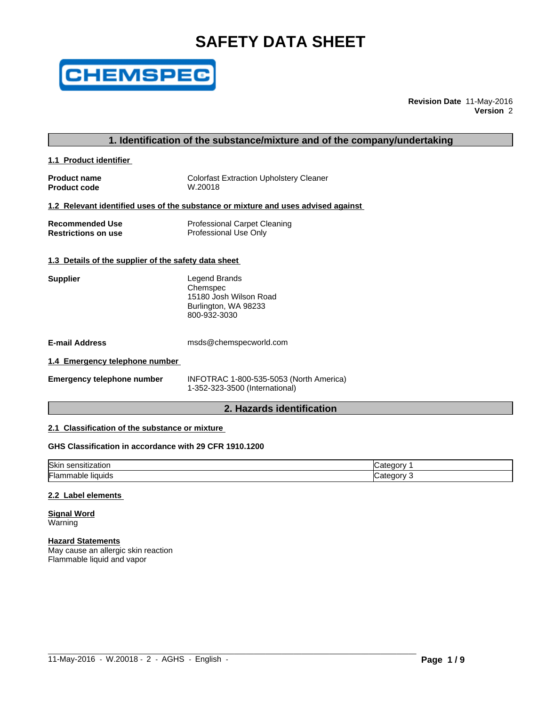# **SAFETY DATA SHEET**



**Revision Date** 11-May-2016 **Version** 2

# **1. Identification of the substance/mixture and of the company/undertaking**

**1.1 Product identifier** 

**Product code** 

**Product name** Colorfast Extraction Upholstery Cleaner<br> **Product code** W.20018

# **1.2 Relevant identified uses of the substance or mixture and uses advised against**

| <b>Recommended Use</b>     | <b>Professional Carpet Cleaning</b> |
|----------------------------|-------------------------------------|
| <b>Restrictions on use</b> | Professional Use Only               |

# **1.3 Details of the supplier of the safety data sheet**

| <b>Supplier</b> | Legend Brands          |
|-----------------|------------------------|
|                 | Chemspec               |
|                 | 15180 Josh Wilson Road |
|                 | Burlington, WA 98233   |
|                 | 800-932-3030           |

**E-mail Address** msds@chemspecworld.com

#### **1.4 Emergency telephone number**

| <b>Emergency telephone number</b> |
|-----------------------------------|
|-----------------------------------|

**Emergency telephone number** INFOTRAC 1-800-535-5053 (North America) 1-352-323-3500 (International)

# **2. Hazards identification**

# **2.1 Classification of the substance or mixture**

# **GHS Classification in accordance with 29 CFR 1910.1200**

| Skin<br>.<br>⊧sensitization      | . .<br>″ atedory۔ |
|----------------------------------|-------------------|
| Flamm<br><b>liquids</b><br>nable | :ategory<br>ີ     |

# **2.2 Label elements**

#### **Signal Word** Warning

# **Hazard Statements**

May cause an allergic skin reaction Flammable liquid and vapor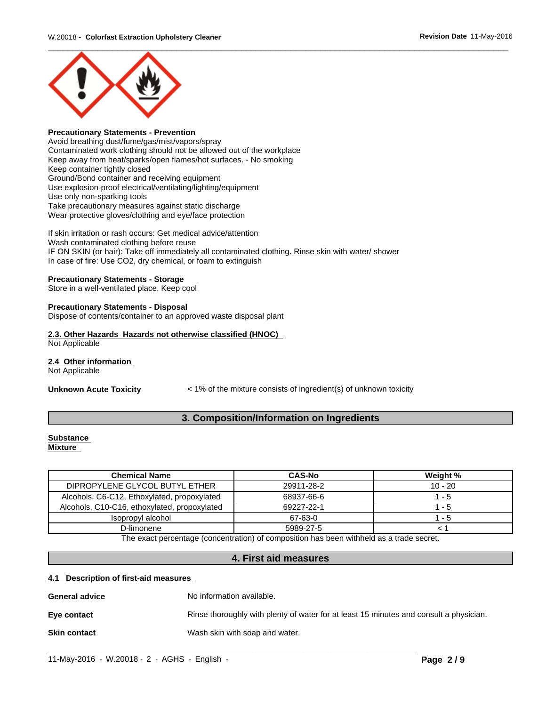

# **Precautionary Statements - Prevention**

Avoid breathing dust/fume/gas/mist/vapors/spray Contaminated work clothing should not be allowed out of the workplace Keep away from heat/sparks/open flames/hot surfaces. - No smoking Keep container tightly closed Ground/Bond container and receiving equipment Use explosion-proof electrical/ventilating/lighting/equipment Use only non-sparking tools Take precautionary measures against static discharge Wear protective gloves/clothing and eye/face protection

If skin irritation or rash occurs: Get medical advice/attention Wash contaminated clothing before reuse IF ON SKIN (or hair): Take off immediately all contaminated clothing. Rinse skin with water/ shower In case of fire: Use CO2, dry chemical, or foam to extinguish

#### **Precautionary Statements - Storage**

Store in a well-ventilated place. Keep cool

#### **Precautionary Statements - Disposal**

Dispose of contents/container to an approved waste disposal plant

# **2.3. Other Hazards Hazards not otherwise classified (HNOC)**

Not Applicable

# **2.4 Other information**

Not Applicable

**Unknown Acute Toxicity** < 1% of the mixture consists of ingredient(s) of unknown toxicity

# **3. Composition/Information on Ingredients**

#### **Substance Mixture**

| <b>Chemical Name</b>                         | <b>CAS-No</b>                         | Weight %  |
|----------------------------------------------|---------------------------------------|-----------|
| DIPROPYLENE GLYCOL BUTYL ETHER               | 29911-28-2                            | $10 - 20$ |
| Alcohols, C6-C12, Ethoxylated, propoxylated  | 68937-66-6                            | - 5       |
| Alcohols, C10-C16, ethoxylated, propoxylated | 69227-22-1                            | - 5       |
| Isopropyl alcohol                            | 67-63-0                               | - 5       |
| D-limonene                                   | 5989-27-5                             |           |
| $-1$                                         | .<br>$\cdots$<br>$\sim$ $\sim$ $\sim$ |           |

The exact percentage (concentration) of composition has been withheld as a trade secret.

# **4. First aid measures**

#### **4.1 Description of first-aid measures**

| <b>General advice</b> | No information available.                                                              |
|-----------------------|----------------------------------------------------------------------------------------|
| Eye contact           | Rinse thoroughly with plenty of water for at least 15 minutes and consult a physician. |
| <b>Skin contact</b>   | Wash skin with soap and water.                                                         |

 $\_$  ,  $\_$  ,  $\_$  ,  $\_$  ,  $\_$  ,  $\_$  ,  $\_$  ,  $\_$  ,  $\_$  ,  $\_$  ,  $\_$  ,  $\_$  ,  $\_$  ,  $\_$  ,  $\_$  ,  $\_$  ,  $\_$  ,  $\_$  ,  $\_$  ,  $\_$  ,  $\_$  ,  $\_$  ,  $\_$  ,  $\_$  ,  $\_$  ,  $\_$  ,  $\_$  ,  $\_$  ,  $\_$  ,  $\_$  ,  $\_$  ,  $\_$  ,  $\_$  ,  $\_$  ,  $\_$  ,  $\_$  ,  $\_$  ,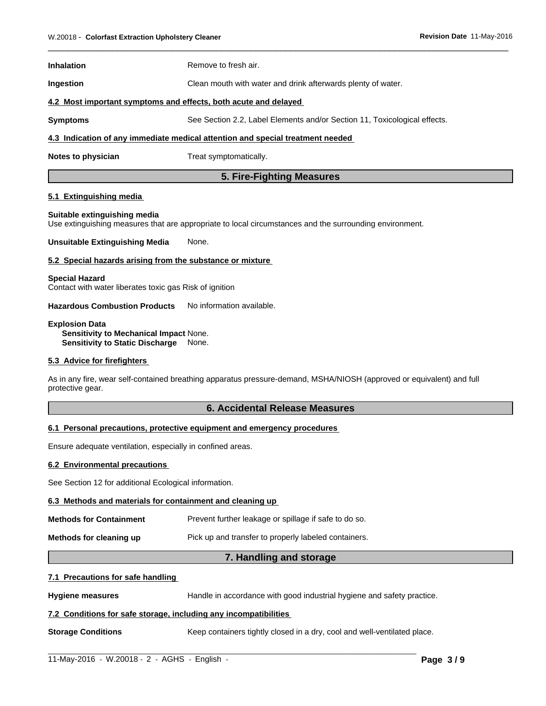| <b>Inhalation</b>                                               | Remove to fresh air.                                                           |  |
|-----------------------------------------------------------------|--------------------------------------------------------------------------------|--|
| <b>Ingestion</b>                                                | Clean mouth with water and drink afterwards plenty of water.                   |  |
| 4.2 Most important symptoms and effects, both acute and delayed |                                                                                |  |
| <b>Symptoms</b>                                                 | See Section 2.2, Label Elements and/or Section 11, Toxicological effects.      |  |
|                                                                 | 4.3 Indication of any immediate medical attention and special treatment needed |  |

**Notes to physician** Treat symptomatically.

# **5. Fire-Fighting Measures**

 $\overline{\phantom{a}}$  ,  $\overline{\phantom{a}}$  ,  $\overline{\phantom{a}}$  ,  $\overline{\phantom{a}}$  ,  $\overline{\phantom{a}}$  ,  $\overline{\phantom{a}}$  ,  $\overline{\phantom{a}}$  ,  $\overline{\phantom{a}}$  ,  $\overline{\phantom{a}}$  ,  $\overline{\phantom{a}}$  ,  $\overline{\phantom{a}}$  ,  $\overline{\phantom{a}}$  ,  $\overline{\phantom{a}}$  ,  $\overline{\phantom{a}}$  ,  $\overline{\phantom{a}}$  ,  $\overline{\phantom{a}}$ 

# **5.1 Extinguishing media**

#### **Suitable extinguishing media**

Use extinguishing measures that are appropriate to local circumstances and the surrounding environment.

**Unsuitable Extinguishing Media** None.

#### **5.2 Special hazards arising from the substance or mixture**

#### **Special Hazard**

Contact with water liberates toxic gas Risk of ignition

**Hazardous Combustion Products** No information available.

**Explosion Data**

**Sensitivity to Mechanical Impact** None. **Sensitivity to Static Discharge** None.

# **5.3 Advice for firefighters**

As in any fire, wear self-contained breathing apparatus pressure-demand, MSHA/NIOSH (approved or equivalent) and full protective gear.

# **6. Accidental Release Measures**

# **6.1 Personal precautions, protective equipment and emergency procedures**

Ensure adequate ventilation, especially in confined areas.

#### **6.2 Environmental precautions**

See Section 12 for additional Ecological information.

# **6.3 Methods and materials for containment and cleaning up**

| <b>Methods for Containment</b> | Prevent further leakage or spillage if safe to do so. |
|--------------------------------|-------------------------------------------------------|
|                                |                                                       |

**Methods for cleaning up** Pick up and transfer to properly labeled containers.

# **7. Handling and storage**

 $\_$  ,  $\_$  ,  $\_$  ,  $\_$  ,  $\_$  ,  $\_$  ,  $\_$  ,  $\_$  ,  $\_$  ,  $\_$  ,  $\_$  ,  $\_$  ,  $\_$  ,  $\_$  ,  $\_$  ,  $\_$  ,  $\_$  ,  $\_$  ,  $\_$  ,  $\_$  ,  $\_$  ,  $\_$  ,  $\_$  ,  $\_$  ,  $\_$  ,  $\_$  ,  $\_$  ,  $\_$  ,  $\_$  ,  $\_$  ,  $\_$  ,  $\_$  ,  $\_$  ,  $\_$  ,  $\_$  ,  $\_$  ,  $\_$  ,

# **7.1 Precautions for safe handling**

**Hygiene measures** Handle in accordance with good industrial hygiene and safety practice.

# **7.2 Conditions for safe storage, including any incompatibilities**

**Storage Conditions** Keep containers tightly closed in a dry, cool and well-ventilated place.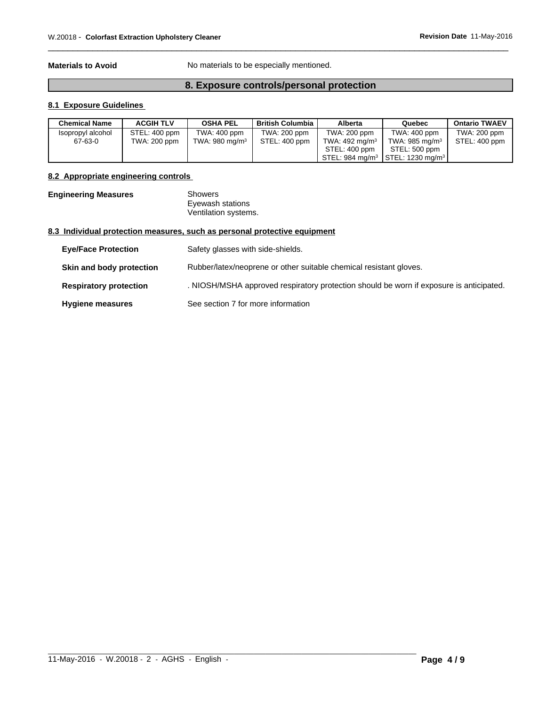**Materials to Avoid** No materials to be especially mentioned.

# **8. Exposure controls/personal protection**

 $\overline{\phantom{a}}$  ,  $\overline{\phantom{a}}$  ,  $\overline{\phantom{a}}$  ,  $\overline{\phantom{a}}$  ,  $\overline{\phantom{a}}$  ,  $\overline{\phantom{a}}$  ,  $\overline{\phantom{a}}$  ,  $\overline{\phantom{a}}$  ,  $\overline{\phantom{a}}$  ,  $\overline{\phantom{a}}$  ,  $\overline{\phantom{a}}$  ,  $\overline{\phantom{a}}$  ,  $\overline{\phantom{a}}$  ,  $\overline{\phantom{a}}$  ,  $\overline{\phantom{a}}$  ,  $\overline{\phantom{a}}$ 

# **8.1 Exposure Guidelines**

| <b>Chemical Name</b> | <b>ACGIH TLV</b> | <b>OSHA PEL</b>   | <b>British Columbia</b> I | Alberta                   | Quebec                                                                   | <b>Ontario TWAEV</b> |
|----------------------|------------------|-------------------|---------------------------|---------------------------|--------------------------------------------------------------------------|----------------------|
| Isopropyl alcohol    | STEL: 400 ppm    | TWA: 400 ppm      | TWA: 200 ppm              | TWA: 200 ppm              | TWA: 400 ppm                                                             | TWA: 200 ppm         |
| 67-63-0              | TWA: 200 ppm     | TWA: 980 mg/m $3$ | STEL: 400 ppm             | TWA: $492 \text{ mg/m}^3$ | TWA: 985 mg/m $3$                                                        | STEL: 400 ppm        |
|                      |                  |                   |                           | STEL: 400 ppm             | STEL: 500 ppm                                                            |                      |
|                      |                  |                   |                           |                           | $\frac{1}{2}$ STEL: 984 mg/m <sup>3</sup>   STEL: 1230 mg/m <sup>3</sup> |                      |

# **8.2 Appropriate engineering controls**

**Engineering Measures** Showers Eyewash stations Ventilation systems.

# **8.3 Individual protection measures, such as personal protective equipment**

| <b>Eye/Face Protection</b>    | Safety glasses with side-shields.                                                       |
|-------------------------------|-----------------------------------------------------------------------------------------|
| Skin and body protection      | Rubber/latex/neoprene or other suitable chemical resistant gloves.                      |
| <b>Respiratory protection</b> | . NIOSH/MSHA approved respiratory protection should be worn if exposure is anticipated. |
| <b>Hygiene measures</b>       | See section 7 for more information                                                      |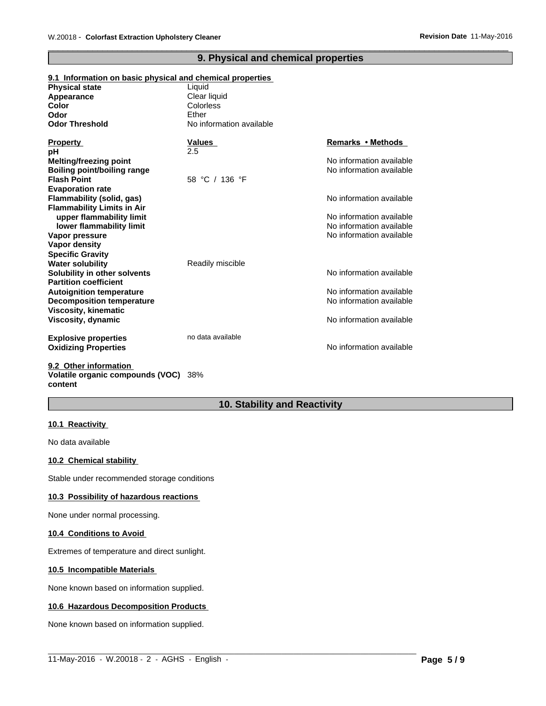| 9.1 Information on basic physical and chemical properties    |                          |                          |
|--------------------------------------------------------------|--------------------------|--------------------------|
| <b>Physical state</b>                                        | Liquid                   |                          |
| Appearance                                                   | Clear liquid             |                          |
| Color                                                        | Colorless                |                          |
| Odor                                                         | Ether                    |                          |
| <b>Odor Threshold</b>                                        | No information available |                          |
| <b>Property</b>                                              | Values                   | Remarks • Methods        |
| pH                                                           | 2.5                      |                          |
| Melting/freezing point                                       |                          | No information available |
| <b>Boiling point/boiling range</b>                           |                          | No information available |
| <b>Flash Point</b>                                           | 58 °C / 136 °F           |                          |
| <b>Evaporation rate</b>                                      |                          |                          |
| Flammability (solid, gas)                                    |                          | No information available |
| <b>Flammability Limits in Air</b>                            |                          |                          |
| upper flammability limit                                     |                          | No information available |
| lower flammability limit                                     |                          | No information available |
| Vapor pressure                                               |                          | No information available |
| Vapor density                                                |                          |                          |
| <b>Specific Gravity</b>                                      |                          |                          |
| <b>Water solubility</b>                                      | Readily miscible         |                          |
| Solubility in other solvents<br><b>Partition coefficient</b> |                          | No information available |
| <b>Autoignition temperature</b>                              |                          | No information available |
| <b>Decomposition temperature</b>                             |                          | No information available |
| <b>Viscosity, kinematic</b>                                  |                          |                          |
| Viscosity, dynamic                                           |                          | No information available |
| <b>Explosive properties</b>                                  | no data available        |                          |
| <b>Oxidizing Properties</b>                                  |                          | No information available |
| 9.2 Other information                                        |                          |                          |

# **9. Physical and chemical properties**

 $\overline{\phantom{a}}$  ,  $\overline{\phantom{a}}$  ,  $\overline{\phantom{a}}$  ,  $\overline{\phantom{a}}$  ,  $\overline{\phantom{a}}$  ,  $\overline{\phantom{a}}$  ,  $\overline{\phantom{a}}$  ,  $\overline{\phantom{a}}$  ,  $\overline{\phantom{a}}$  ,  $\overline{\phantom{a}}$  ,  $\overline{\phantom{a}}$  ,  $\overline{\phantom{a}}$  ,  $\overline{\phantom{a}}$  ,  $\overline{\phantom{a}}$  ,  $\overline{\phantom{a}}$  ,  $\overline{\phantom{a}}$ 

**9.2 Other information Volatile organic compounds (VOC)** 38% **content**

# **10. Stability and Reactivity**

# **10.1 Reactivity**

No data available

# **10.2 Chemical stability**

Stable under recommended storage conditions

# **10.3 Possibility of hazardous reactions**

None under normal processing.

# **10.4 Conditions to Avoid**

Extremes of temperature and direct sunlight.

# **10.5 Incompatible Materials**

None known based on information supplied.

# **10.6 Hazardous Decomposition Products**

None known based on information supplied.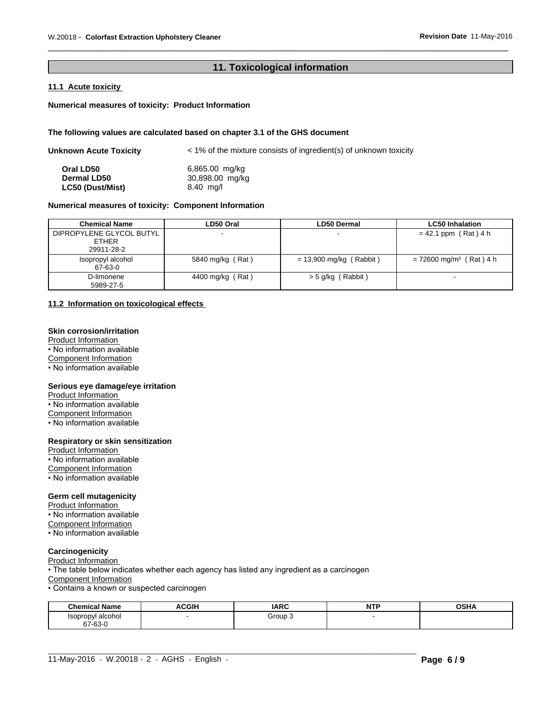# **11. Toxicological information**

 $\overline{\phantom{a}}$  ,  $\overline{\phantom{a}}$  ,  $\overline{\phantom{a}}$  ,  $\overline{\phantom{a}}$  ,  $\overline{\phantom{a}}$  ,  $\overline{\phantom{a}}$  ,  $\overline{\phantom{a}}$  ,  $\overline{\phantom{a}}$  ,  $\overline{\phantom{a}}$  ,  $\overline{\phantom{a}}$  ,  $\overline{\phantom{a}}$  ,  $\overline{\phantom{a}}$  ,  $\overline{\phantom{a}}$  ,  $\overline{\phantom{a}}$  ,  $\overline{\phantom{a}}$  ,  $\overline{\phantom{a}}$ 

# **11.1 Acute toxicity**

#### **Numerical measures of toxicity: Product Information**

#### **The following values are calculated based on chapter 3.1 of the GHS document**

| <b>Unknown Acute Toxicity</b> | < 1% of the mixture consists of ingredient(s) of unknown toxicity |  |  |
|-------------------------------|-------------------------------------------------------------------|--|--|
| Oral LD50                     | 6,865.00 mg/kg                                                    |  |  |
| <b>Dermal LD50</b>            | 30,898.00 mg/kg                                                   |  |  |
| LC50 (Dust/Mist)              | $8.40$ mg/l                                                       |  |  |

# **Numerical measures of toxicity: Component Information**

| <b>Chemical Name</b>                                   | LD50 Oral        | <b>LD50 Dermal</b>        | <b>LC50 Inhalation</b>                |
|--------------------------------------------------------|------------------|---------------------------|---------------------------------------|
| DIPROPYLENE GLYCOL BUTYL<br><b>ETHER</b><br>29911-28-2 |                  |                           | $= 42.1$ ppm (Rat) 4 h                |
| Isopropyl alcohol<br>67-63-0                           | 5840 mg/kg (Rat) | $= 13,900$ mg/kg (Rabbit) | $= 72600$ mg/m <sup>3</sup> (Rat) 4 h |
| D-limonene<br>5989-27-5                                | 4400 mg/kg (Rat) | > 5 g/kg (Rabbit)         |                                       |

# **11.2 Information on toxicological effects**

# **Skin corrosion/irritation**

Product Information • No information available Component Information • No information available

#### **Serious eye damage/eye irritation**

Product Information • No information available Component Information • No information available

# **Respiratory or skin sensitization**

Product Information • No information available Component Information • No information available

#### **Germ cell mutagenicity**

Product Information • No information available Component Information • No information available

# **Carcinogenicity**

Product Information

• The table below indicates whether each agency has listed any ingredient as a carcinogen

Component Information

• Contains a known or suspected carcinogen

| <b>Chemical Name</b>         | <b>ACGIH</b> | <b>IARC</b> | <b>NTP</b><br>. | <b>OCUA</b><br>оэпа |
|------------------------------|--------------|-------------|-----------------|---------------------|
| Isopropyl alcohol<br>67-63-0 |              | Group       |                 |                     |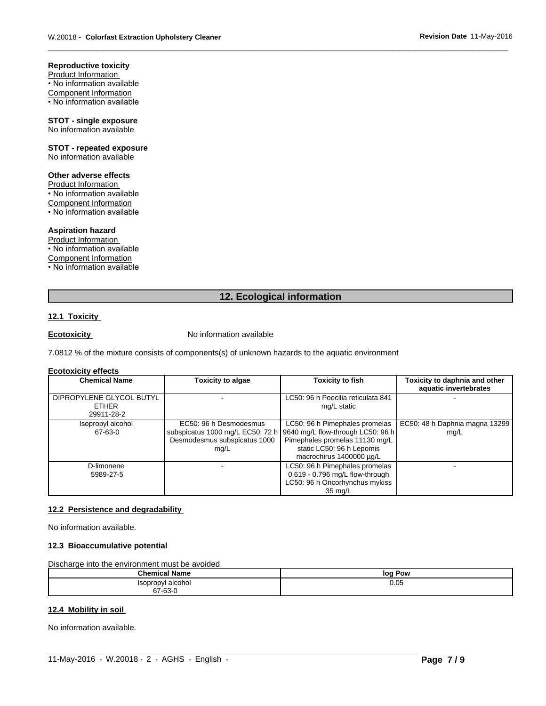**Reproductive toxicity** Product Information

• No information available Component Information • No information available

**STOT - single exposure** No information available

**STOT - repeated exposure** No information available

# **Other adverse effects**

Product Information • No information available Component Information • No information available

#### **Aspiration hazard**

Product Information • No information available Component Information • No information available

# **12. Ecological information**

 $\overline{\phantom{a}}$  ,  $\overline{\phantom{a}}$  ,  $\overline{\phantom{a}}$  ,  $\overline{\phantom{a}}$  ,  $\overline{\phantom{a}}$  ,  $\overline{\phantom{a}}$  ,  $\overline{\phantom{a}}$  ,  $\overline{\phantom{a}}$  ,  $\overline{\phantom{a}}$  ,  $\overline{\phantom{a}}$  ,  $\overline{\phantom{a}}$  ,  $\overline{\phantom{a}}$  ,  $\overline{\phantom{a}}$  ,  $\overline{\phantom{a}}$  ,  $\overline{\phantom{a}}$  ,  $\overline{\phantom{a}}$ 

# **12.1 Toxicity**

**Ecotoxicity No information available** 

7.0812 % of the mixture consists of components(s) of unknown hazards to the aquatic environment

#### **Ecotoxicity effects**

| <b>Chemical Name</b>                                   | Toxicity to algae                                                                                  | <b>Toxicity to fish</b>                                                                                                                                        | Toxicity to daphnia and other<br>aquatic invertebrates |
|--------------------------------------------------------|----------------------------------------------------------------------------------------------------|----------------------------------------------------------------------------------------------------------------------------------------------------------------|--------------------------------------------------------|
| DIPROPYLENE GLYCOL BUTYL<br><b>ETHER</b><br>29911-28-2 |                                                                                                    | LC50: 96 h Poecilia reticulata 841<br>mg/L static                                                                                                              |                                                        |
| Isopropyl alcohol<br>67-63-0                           | EC50: 96 h Desmodesmus<br>subspicatus 1000 mg/L EC50: 72 h<br>Desmodesmus subspicatus 1000<br>mg/L | LC50: 96 h Pimephales promelas<br>9640 mg/L flow-through LC50: 96 h<br>Pimephales promelas 11130 mg/L<br>static LC50: 96 h Lepomis<br>macrochirus 1400000 µg/L | EC50: 48 h Daphnia magna 13299<br>mq/L                 |
| D-limonene<br>5989-27-5                                |                                                                                                    | LC50: 96 h Pimephales promelas<br>0.619 - 0.796 mg/L flow-through<br>LC50: 96 h Oncorhynchus mykiss<br>35 mg/L                                                 |                                                        |

# **12.2 Persistence and degradability**

No information available.

#### **12.3 Bioaccumulative potential**

Discharge into the environment must be avoided

| $^{\circ}$ homu                      | Pow  |
|--------------------------------------|------|
|                                      | loc  |
| ropvl alcohol<br>cor<br>.<br>67-63-0 | 0.05 |

 $\_$  ,  $\_$  ,  $\_$  ,  $\_$  ,  $\_$  ,  $\_$  ,  $\_$  ,  $\_$  ,  $\_$  ,  $\_$  ,  $\_$  ,  $\_$  ,  $\_$  ,  $\_$  ,  $\_$  ,  $\_$  ,  $\_$  ,  $\_$  ,  $\_$  ,  $\_$  ,  $\_$  ,  $\_$  ,  $\_$  ,  $\_$  ,  $\_$  ,  $\_$  ,  $\_$  ,  $\_$  ,  $\_$  ,  $\_$  ,  $\_$  ,  $\_$  ,  $\_$  ,  $\_$  ,  $\_$  ,  $\_$  ,  $\_$  ,

#### **12.4 Mobility in soil**

No information available.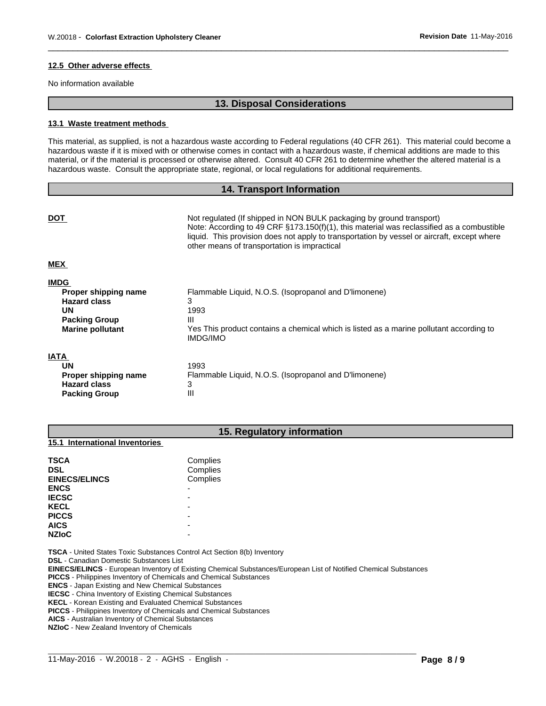#### **12.5 Other adverse effects**

No information available

# **13. Disposal Considerations**

 $\overline{\phantom{a}}$  ,  $\overline{\phantom{a}}$  ,  $\overline{\phantom{a}}$  ,  $\overline{\phantom{a}}$  ,  $\overline{\phantom{a}}$  ,  $\overline{\phantom{a}}$  ,  $\overline{\phantom{a}}$  ,  $\overline{\phantom{a}}$  ,  $\overline{\phantom{a}}$  ,  $\overline{\phantom{a}}$  ,  $\overline{\phantom{a}}$  ,  $\overline{\phantom{a}}$  ,  $\overline{\phantom{a}}$  ,  $\overline{\phantom{a}}$  ,  $\overline{\phantom{a}}$  ,  $\overline{\phantom{a}}$ 

#### **13.1 Waste treatment methods**

This material, as supplied, is not a hazardous waste according to Federal regulations (40 CFR 261). This material could become a hazardous waste if it is mixed with or otherwise comes in contact with a hazardous waste, if chemical additions are made to this material, or if the material is processed or otherwise altered. Consult 40 CFR 261 to determine whether the altered material is a hazardous waste. Consult the appropriate state, regional, or local regulations for additional requirements.

# **14. Transport Information**

| <b>DOT</b>                                                                                                                 | Not regulated (If shipped in NON BULK packaging by ground transport)<br>Note: According to 49 CRF $\S$ 173.150(f)(1), this material was reclassified as a combustible<br>liquid. This provision does not apply to transportation by vessel or aircraft, except where<br>other means of transportation is impractical |
|----------------------------------------------------------------------------------------------------------------------------|----------------------------------------------------------------------------------------------------------------------------------------------------------------------------------------------------------------------------------------------------------------------------------------------------------------------|
| <b>MEX</b>                                                                                                                 |                                                                                                                                                                                                                                                                                                                      |
| <b>IMDG</b><br>Proper shipping name<br><b>Hazard class</b><br><b>UN</b><br><b>Packing Group</b><br><b>Marine pollutant</b> | Flammable Liquid, N.O.S. (Isopropanol and D'limonene)<br>3<br>1993<br>Ш<br>Yes This product contains a chemical which is listed as a marine pollutant according to<br><b>IMDG/IMO</b>                                                                                                                                |
| <b>IATA</b><br><b>UN</b><br>Proper shipping name<br><b>Hazard class</b><br><b>Packing Group</b>                            | 1993<br>Flammable Liquid, N.O.S. (Isopropanol and D'limonene)<br>3<br>Ш                                                                                                                                                                                                                                              |

# **15. Regulatory information**

#### **15.1 International Inventories**

| <b>TSCA</b><br><b>DSL</b><br><b>EINECS/ELINCS</b> | Complies<br>Complies<br>Complies |  |
|---------------------------------------------------|----------------------------------|--|
| <b>ENCS</b>                                       | -                                |  |
| <b>IECSC</b>                                      | -                                |  |
| <b>KECL</b>                                       | -                                |  |
| <b>PICCS</b>                                      | -                                |  |
| <b>AICS</b>                                       | -                                |  |
| <b>NZIOC</b>                                      | -                                |  |

**TSCA** - United States Toxic Substances Control Act Section 8(b) Inventory

**DSL** - Canadian Domestic Substances List

**EINECS/ELINCS** - European Inventory of Existing Chemical Substances/European List of Notified Chemical Substances

 $\_$  ,  $\_$  ,  $\_$  ,  $\_$  ,  $\_$  ,  $\_$  ,  $\_$  ,  $\_$  ,  $\_$  ,  $\_$  ,  $\_$  ,  $\_$  ,  $\_$  ,  $\_$  ,  $\_$  ,  $\_$  ,  $\_$  ,  $\_$  ,  $\_$  ,  $\_$  ,  $\_$  ,  $\_$  ,  $\_$  ,  $\_$  ,  $\_$  ,  $\_$  ,  $\_$  ,  $\_$  ,  $\_$  ,  $\_$  ,  $\_$  ,  $\_$  ,  $\_$  ,  $\_$  ,  $\_$  ,  $\_$  ,  $\_$  ,

**PICCS** - Philippines Inventory of Chemicals and Chemical Substances

**ENCS** - Japan Existing and New Chemical Substances

**IECSC** - China Inventory of Existing Chemical Substances

**KECL** - Korean Existing and Evaluated Chemical Substances

**PICCS** - Philippines Inventory of Chemicals and Chemical Substances

**AICS** - Australian Inventory of Chemical Substances

**NZIoC** - New Zealand Inventory of Chemicals